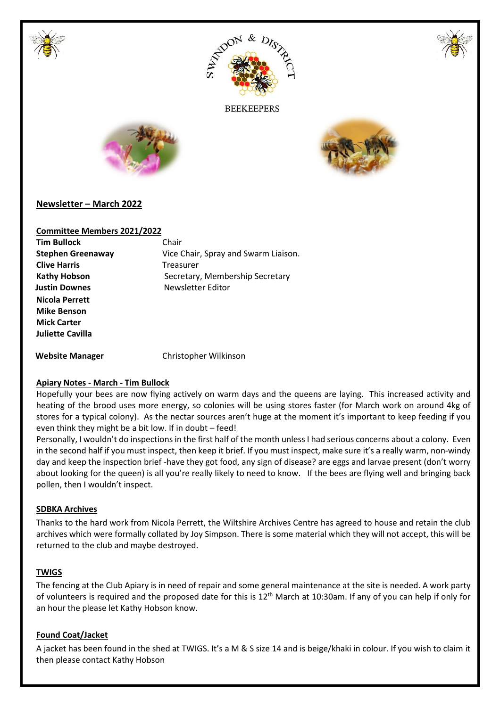





**BEEKEEPERS** 





# **Newsletter – March 2022**

## **Committee Members 2021/2022**

| <b>Tim Bullock</b>       | Chair                                |
|--------------------------|--------------------------------------|
| <b>Stephen Greenaway</b> | Vice Chair, Spray and Swarm Liaison. |
| <b>Clive Harris</b>      | Treasurer                            |
| <b>Kathy Hobson</b>      | Secretary, Membership Secretary      |
| <b>Justin Downes</b>     | Newsletter Editor                    |
| Nicola Perrett           |                                      |
| <b>Mike Benson</b>       |                                      |
| <b>Mick Carter</b>       |                                      |
| Juliette Cavilla         |                                      |
|                          |                                      |

 **Website Manager** Christopher Wilkinson

## **Apiary Notes - March - Tim Bullock**

Hopefully your bees are now flying actively on warm days and the queens are laying. This increased activity and heating of the brood uses more energy, so colonies will be using stores faster (for March work on around 4kg of stores for a typical colony). As the nectar sources aren't huge at the moment it's important to keep feeding if you even think they might be a bit low. If in doubt – feed!

Personally, I wouldn't do inspections in the first half of the month unless I had serious concerns about a colony. Even in the second half if you must inspect, then keep it brief. If you must inspect, make sure it's a really warm, non-windy day and keep the inspection brief -have they got food, any sign of disease? are eggs and larvae present (don't worry about looking for the queen) is all you're really likely to need to know. If the bees are flying well and bringing back pollen, then I wouldn't inspect.

### **SDBKA Archives**

Thanks to the hard work from Nicola Perrett, the Wiltshire Archives Centre has agreed to house and retain the club archives which were formally collated by Joy Simpson. There is some material which they will not accept, this will be returned to the club and maybe destroyed.

### **TWIGS**

The fencing at the Club Apiary is in need of repair and some general maintenance at the site is needed. A work party of volunteers is required and the proposed date for this is  $12^{th}$  March at 10:30am. If any of you can help if only for an hour the please let Kathy Hobson know.

## **Found Coat/Jacket**

A jacket has been found in the shed at TWIGS. It's a M & S size 14 and is beige/khaki in colour. If you wish to claim it then please contact Kathy Hobson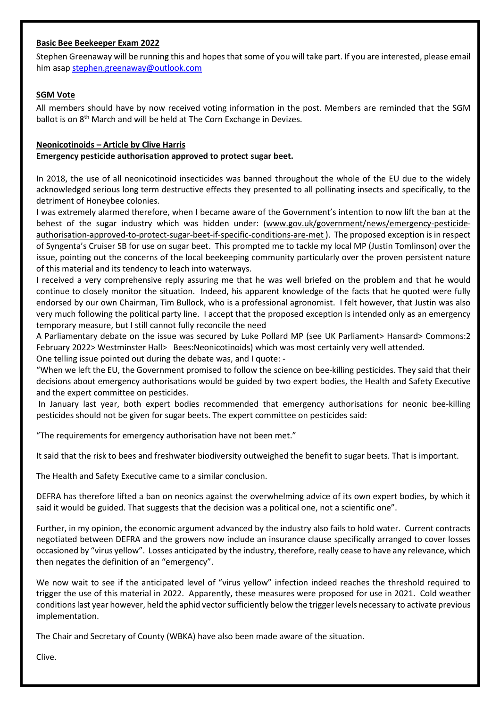# **Basic Bee Beekeeper Exam 2022**

Stephen Greenaway will be running this and hopes that some of you will take part. If you are interested, please email him asap stephen.greenaway@outlook.com

# **SGM Vote**

All members should have by now received voting information in the post. Members are reminded that the SGM ballot is on 8<sup>th</sup> March and will be held at The Corn Exchange in Devizes.

## **Neonicotinoids – Article by Clive Harris**

## **Emergency pesticide authorisation approved to protect sugar beet.**

In 2018, the use of all neonicotinoid insecticides was banned throughout the whole of the EU due to the widely acknowledged serious long term destructive effects they presented to all pollinating insects and specifically, to the detriment of Honeybee colonies.

I was extremely alarmed therefore, when I became aware of the Government's intention to now lift the ban at the behest of the sugar industry which was hidden under: (www.gov.uk/government/news/emergency-pesticideauthorisation-approved-to-protect-sugar-beet-if-specific-conditions-are-met ). The proposed exception is in respect of Syngenta's Cruiser SB for use on sugar beet. This prompted me to tackle my local MP (Justin Tomlinson) over the issue, pointing out the concerns of the local beekeeping community particularly over the proven persistent nature of this material and its tendency to leach into waterways.

I received a very comprehensive reply assuring me that he was well briefed on the problem and that he would continue to closely monitor the situation. Indeed, his apparent knowledge of the facts that he quoted were fully endorsed by our own Chairman, Tim Bullock, who is a professional agronomist. I felt however, that Justin was also very much following the political party line. I accept that the proposed exception is intended only as an emergency temporary measure, but I still cannot fully reconcile the need

A Parliamentary debate on the issue was secured by Luke Pollard MP (see UK Parliament> Hansard> Commons:2 February 2022> Westminster Hall> Bees:Neonicotinoids) which was most certainly very well attended.

One telling issue pointed out during the debate was, and I quote: -

"When we left the EU, the Government promised to follow the science on bee-killing pesticides. They said that their decisions about emergency authorisations would be guided by two expert bodies, the Health and Safety Executive and the expert committee on pesticides.

 In January last year, both expert bodies recommended that emergency authorisations for neonic bee-killing pesticides should not be given for sugar beets. The expert committee on pesticides said:

"The requirements for emergency authorisation have not been met."

It said that the risk to bees and freshwater biodiversity outweighed the benefit to sugar beets. That is important.

The Health and Safety Executive came to a similar conclusion.

DEFRA has therefore lifted a ban on neonics against the overwhelming advice of its own expert bodies, by which it said it would be guided. That suggests that the decision was a political one, not a scientific one".

Further, in my opinion, the economic argument advanced by the industry also fails to hold water. Current contracts negotiated between DEFRA and the growers now include an insurance clause specifically arranged to cover losses occasioned by "virus yellow". Losses anticipated by the industry, therefore, really cease to have any relevance, which then negates the definition of an "emergency".

We now wait to see if the anticipated level of "virus yellow" infection indeed reaches the threshold required to trigger the use of this material in 2022. Apparently, these measures were proposed for use in 2021. Cold weather conditions last year however, held the aphid vector sufficiently below the trigger levels necessary to activate previous implementation.

The Chair and Secretary of County (WBKA) have also been made aware of the situation.

Clive.